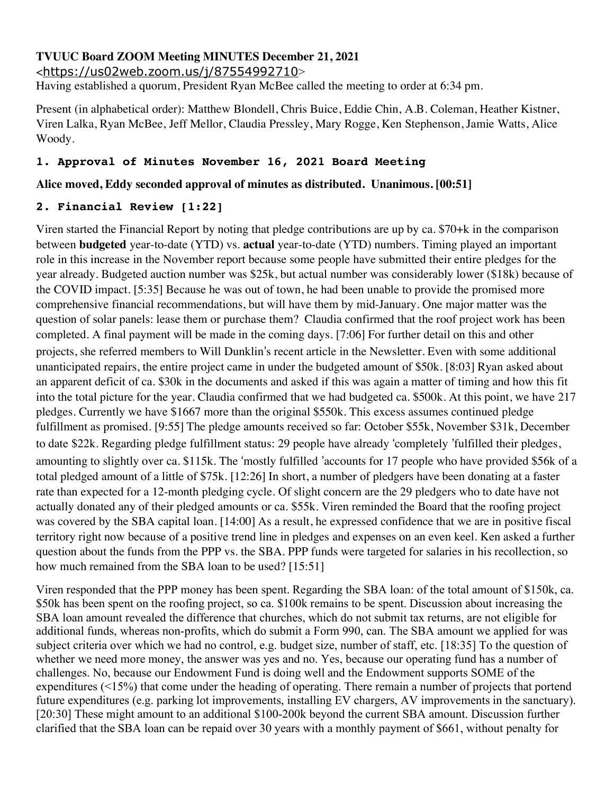# **TVUUC Board ZOOM Meeting MINUTES December 21, 2021**

<https://us02web.zoom.us/j/87554992710>

Having established a quorum, President Ryan McBee called the meeting to order at 6:34 pm.

Present (in alphabetical order): Matthew Blondell, Chris Buice, Eddie Chin, A.B. Coleman, Heather Kistner, Viren Lalka, Ryan McBee, Jeff Mellor, Claudia Pressley, Mary Rogge, Ken Stephenson, Jamie Watts, Alice Woody.

# **1. Approval of Minutes November 16, 2021 Board Meeting**

## **Alice moved, Eddy seconded approval of minutes as distributed. Unanimous. [00:51]**

## **2. Financial Review [1:22]**

Viren started the Financial Report by noting that pledge contributions are up by ca. \$70+k in the comparison between **budgeted** year-to-date (YTD) vs. **actual** year-to-date (YTD) numbers. Timing played an important role in this increase in the November report because some people have submitted their entire pledges for the year already. Budgeted auction number was \$25k, but actual number was considerably lower (\$18k) because of the COVID impact. [5:35] Because he was out of town, he had been unable to provide the promised more comprehensive financial recommendations, but will have them by mid-January. One major matter was the question of solar panels: lease them or purchase them? Claudia confirmed that the roof project work has been completed. A final payment will be made in the coming days. [7:06] For further detail on this and other projects, she referred members to Will Dunklin's recent article in the Newsletter. Even with some additional unanticipated repairs, the entire project came in under the budgeted amount of \$50k. [8:03] Ryan asked about an apparent deficit of ca. \$30k in the documents and asked if this was again a matter of timing and how this fit into the total picture for the year. Claudia confirmed that we had budgeted ca. \$500k. At this point, we have 217 pledges. Currently we have \$1667 more than the original \$550k. This excess assumes continued pledge fulfillment as promised. [9:55] The pledge amounts received so far: October \$55k, November \$31k, December to date \$22k. Regarding pledge fulfillment status: 29 people have already 'completely 'fulfilled their pledges, amounting to slightly over ca. \$115k. The 'mostly fulfilled 'accounts for 17 people who have provided \$56k of a total pledged amount of a little of \$75k. [12:26] In short, a number of pledgers have been donating at a faster rate than expected for a 12-month pledging cycle. Of slight concern are the 29 pledgers who to date have not actually donated any of their pledged amounts or ca. \$55k. Viren reminded the Board that the roofing project was covered by the SBA capital loan. [14:00] As a result, he expressed confidence that we are in positive fiscal territory right now because of a positive trend line in pledges and expenses on an even keel. Ken asked a further question about the funds from the PPP vs. the SBA. PPP funds were targeted for salaries in his recollection, so how much remained from the SBA loan to be used? [15:51]

Viren responded that the PPP money has been spent. Regarding the SBA loan: of the total amount of \$150k, ca. \$50k has been spent on the roofing project, so ca. \$100k remains to be spent. Discussion about increasing the SBA loan amount revealed the difference that churches, which do not submit tax returns, are not eligible for additional funds, whereas non-profits, which do submit a Form 990, can. The SBA amount we applied for was subject criteria over which we had no control, e.g. budget size, number of staff, etc. [18:35] To the question of whether we need more money, the answer was yes and no. Yes, because our operating fund has a number of challenges. No, because our Endowment Fund is doing well and the Endowment supports SOME of the expenditures (<15%) that come under the heading of operating. There remain a number of projects that portend future expenditures (e.g. parking lot improvements, installing EV chargers, AV improvements in the sanctuary). [20:30] These might amount to an additional \$100-200k beyond the current SBA amount. Discussion further clarified that the SBA loan can be repaid over 30 years with a monthly payment of \$661, without penalty for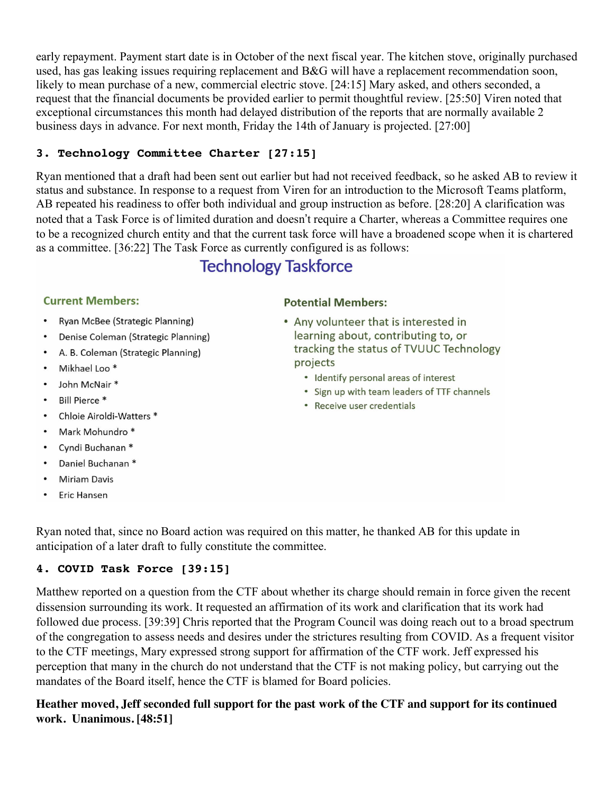early repayment. Payment start date is in October of the next fiscal year. The kitchen stove, originally purchased used, has gas leaking issues requiring replacement and B&G will have a replacement recommendation soon, likely to mean purchase of a new, commercial electric stove. [24:15] Mary asked, and others seconded, a request that the financial documents be provided earlier to permit thoughtful review. [25:50] Viren noted that exceptional circumstances this month had delayed distribution of the reports that are normally available 2 business days in advance. For next month, Friday the 14th of January is projected. [27:00]

# **3. Technology Committee Charter [27:15]**

Ryan mentioned that a draft had been sent out earlier but had not received feedback, so he asked AB to review it status and substance. In response to a request from Viren for an introduction to the Microsoft Teams platform, AB repeated his readiness to offer both individual and group instruction as before. [28:20] A clarification was noted that a Task Force is of limited duration and doesn't require a Charter, whereas a Committee requires one to be a recognized church entity and that the current task force will have a broadened scope when it is chartered as a committee. [36:22] The Task Force as currently configured is as follows:

# **Technology Taskforce**

## **Current Members:**

- Ryan McBee (Strategic Planning)
- Denise Coleman (Strategic Planning)
- A. B. Coleman (Strategic Planning)
- Mikhael Loo<sup>\*</sup>
- John McNair\*
- Bill Pierce \*
- Chloie Airoldi-Watters \*
- Mark Mohundro \*  $\bullet$
- Cyndi Buchanan \*
- Daniel Buchanan \*
- Miriam Davis
- **Eric Hansen**

## **Potential Members:**

- Any volunteer that is interested in learning about, contributing to, or tracking the status of TVUUC Technology projects
	- Identify personal areas of interest
	- Sign up with team leaders of TTF channels
	- Receive user credentials

Ryan noted that, since no Board action was required on this matter, he thanked AB for this update in anticipation of a later draft to fully constitute the committee.

## **4. COVID Task Force [39:15]**

Matthew reported on a question from the CTF about whether its charge should remain in force given the recent dissension surrounding its work. It requested an affirmation of its work and clarification that its work had followed due process. [39:39] Chris reported that the Program Council was doing reach out to a broad spectrum of the congregation to assess needs and desires under the strictures resulting from COVID. As a frequent visitor to the CTF meetings, Mary expressed strong support for affirmation of the CTF work. Jeff expressed his perception that many in the church do not understand that the CTF is not making policy, but carrying out the mandates of the Board itself, hence the CTF is blamed for Board policies.

# Heather moved, Jeff seconded full support for the past work of the CTF and support for its continued **work. Unanimous. [48:51]**